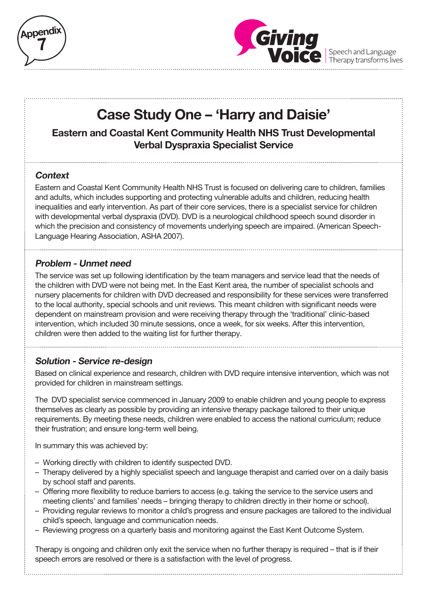



Speech and Language<br>Therapy transforms lives

# **Case Study One – 'Harry and Daisie'**

**Eastern and Coastal Kent Community Health NHS Trust Developmental Verbal Dyspraxia Specialist Service**

## **Context**

Eastern and Coastal Kent Community Health NHS Trust is focused on delivering care to children, families and adults, which includes supporting and protecting vulnerable adults and children, reducing health inequalities and early intervention. As part of their core services, there is a specialist service for children with developmental verbal dyspraxia (DVD). DVD is a neurological childhood speech sound disorder in which the precision and consistency of movements underlying speech are impaired. (American Speech-Language Hearing Association, ASHA 2007).

### **Problem - Unmet need**

The service was set up following identification by the team managers and service lead that the needs of the children with DVD were not being met. In the East Kent area, the number of specialist schools and nursery placements for children with DVD decreased and responsibility for these services were transferred to the local authority, special schools and unit reviews. This meant children with significant needs were dependent on mainstream provision and were receiving therapy through the 'traditional' clinic-based intervention, which included 30 minute sessions, once a week, for six weeks. After this intervention, children were then added to the waiting list for further therapy.

**Solution - Service re-design**

Based on clinical experience and research, children with DVD require intensive intervention, which was not provided for children in mainstream settings.

The DVD specialist service commenced in January 2009 to enable children and young people to express themselves as clearly as possible by providing an intensive therapy package tailored to their unique requirements. By meeting these needs, children were enabled to access the national curriculum; reduce their frustration; and ensure long-term well being.

In summary this was achieved by:

- Working directly with children to identify suspected DVD.
- Therapy delivered by a highly specialist speech and language therapist and carried over on a daily basis by school staff and parents.
- Offering more flexibility to reduce barriers to access (e.g. taking the service to the service users and meeting clients' and families' needs – bringing therapy to children directly in their home or school).
- Providing regular reviews to monitor a child's progress and ensure packages are tailored to the individual child's speech, language and communication needs.
- Reviewing progress on a quarterly basis and monitoring against the East Kent Outcome System.

Therapy is ongoing and children only exit the service when no further therapy is required – that is if their speech errors are resolved or there is a satisfaction with the level of progress.